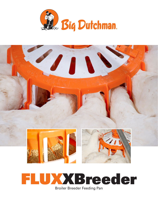